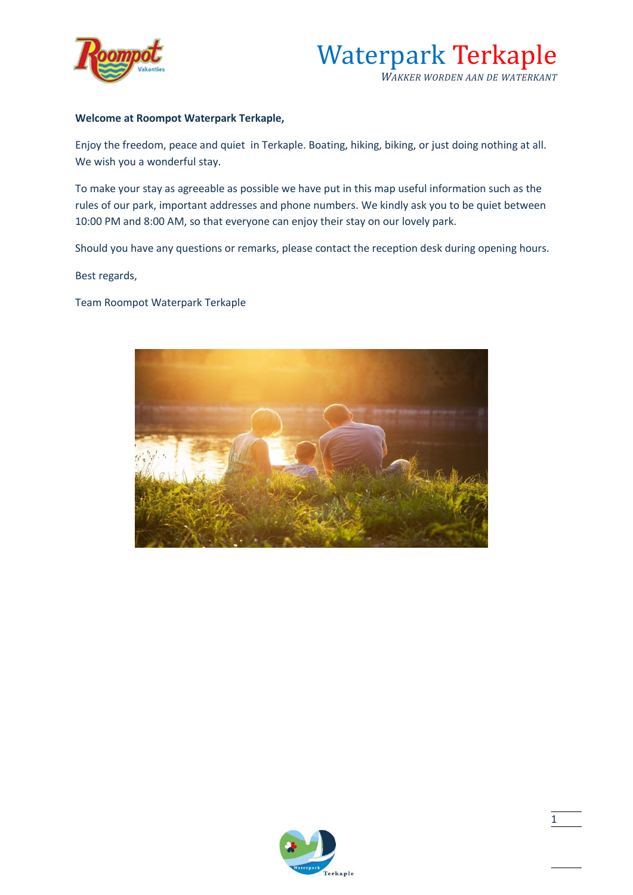



#### **Welcome at Roompot Waterpark Terkaple,**

Enjoy the freedom, peace and quiet in Terkaple. Boating, hiking, biking, or just doing nothing at all. We wish you a wonderful stay.

To make your stay as agreeable as possible we have put in this map useful information such as the rules of our park, important addresses and phone numbers. We kindly ask you to be quiet between 10:00 PM and 8:00 AM, so that everyone can enjoy their stay on our lovely park.

Should you have any questions or remarks, please contact the reception desk during opening hours.

Best regards,

Team Roompot Waterpark Terkaple



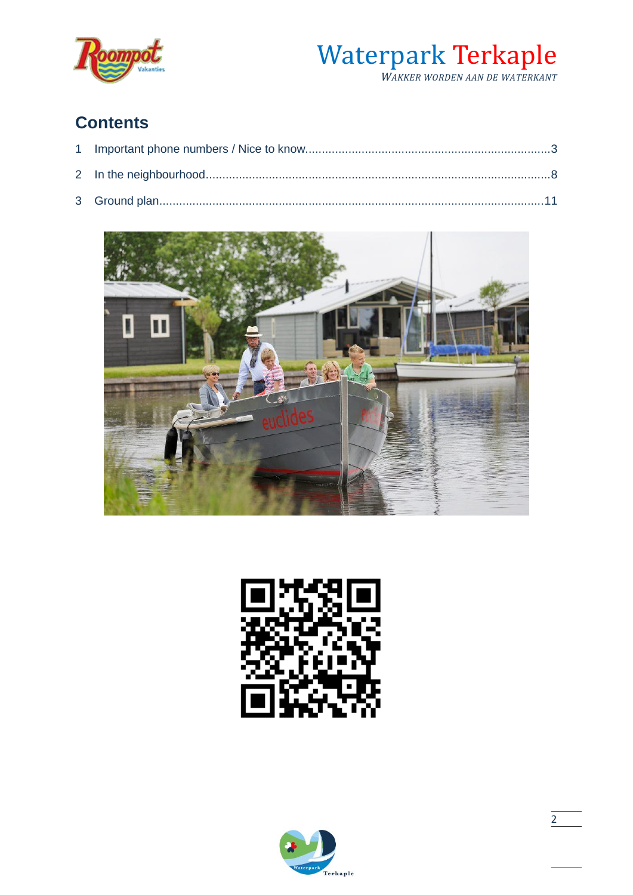



# **Contents**





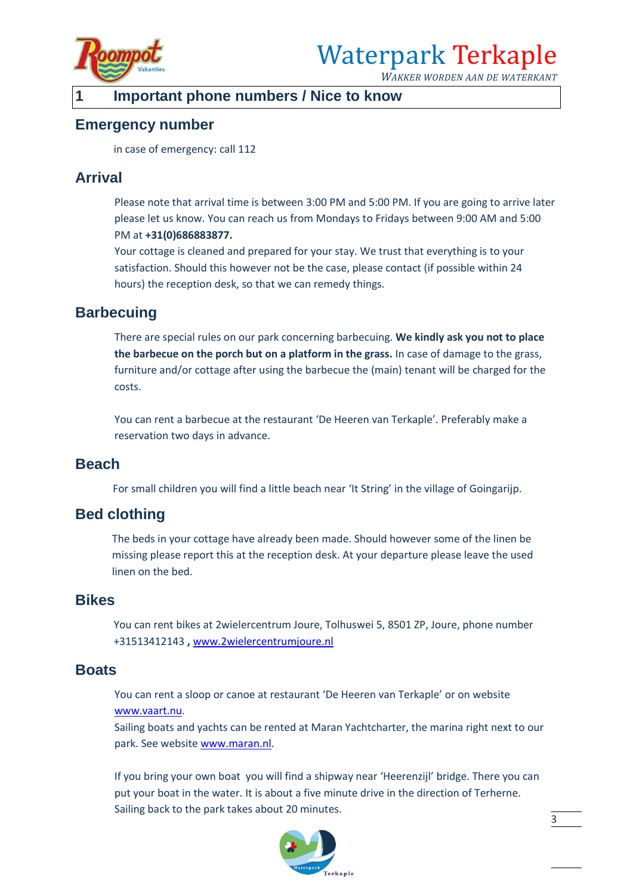

*WAKKER WORDEN AAN DE WATERKANT*

#### **1 Important phone numbers / Nice to know**

#### **Emergency number**

in case of emergency: call 112

# **Arrival**

Please note that arrival time is between 3:00 PM and 5:00 PM. If you are going to arrive later please let us know. You can reach us from Mondays to Fridays between 9:00 AM and 5:00 PM at **+31(0)686883877.**

Your cottage is cleaned and prepared for your stay. We trust that everything is to your satisfaction. Should this however not be the case, please contact (if possible within 24 hours) the reception desk, so that we can remedy things.

# **Barbecuing**

There are special rules on our park concerning barbecuing. **We kindly ask you not to place the barbecue on the porch but on a platform in the grass.** In case of damage to the grass, furniture and/or cottage after using the barbecue the (main) tenant will be charged for the costs.

You can rent a barbecue at the restaurant 'De Heeren van Terkaple'. Preferably make a reservation two days in advance.

# **Beach**

For small children you will find a little beach near 'It String' in the village of Goingarijp.

# **Bed clothing**

The beds in your cottage have already been made. Should however some of the linen be missing please report this at the reception desk. At your departure please leave the used linen on the bed.

#### **Bikes**

You can rent bikes at 2wielercentrum Joure, Tolhuswei 5, 8501 ZP, Joure, phone number +31513412143 **,** [www.2wielercentrumjoure.nl](http://www.2wielercentrumjoure.nl/)

#### **Boats**

You can rent a sloop or canoe at restaurant 'De Heeren van Terkaple' or on website [www.vaart.nu.](http://www.vaart.nu/)

Sailing boats and yachts can be rented at Maran Yachtcharter, the marina right next to our park. See website [www.maran.nl.](http://www.maran.nl/)

If you bring your own boat you will find a shipway near 'Heerenzijl' bridge. There you can put your boat in the water. It is about a five minute drive in the direction of Terherne. Sailing back to the park takes about 20 minutes.

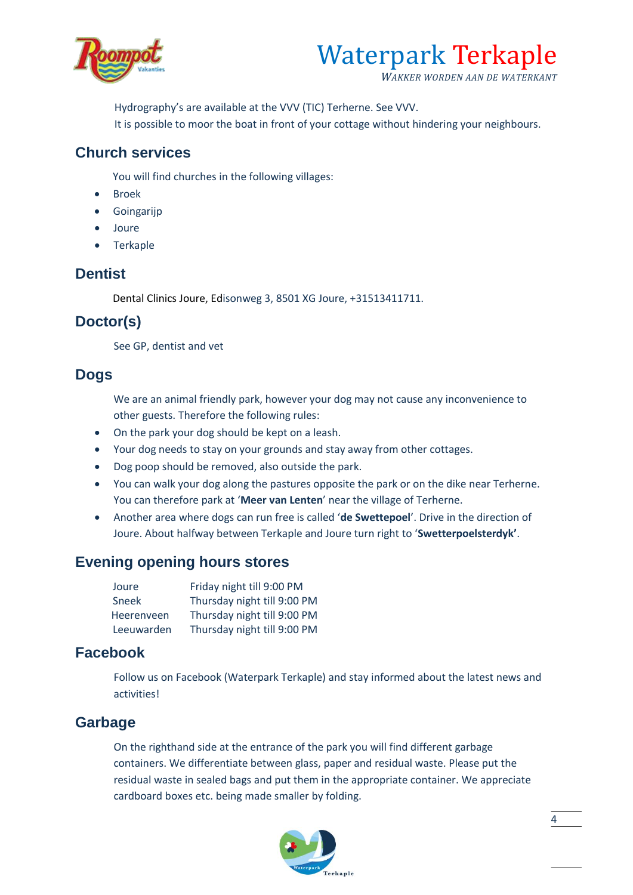

*WAKKER WORDEN AAN DE WATERKANT*

Hydrography's are available at the VVV (TIC) Terherne. See VVV. It is possible to moor the boat in front of your cottage without hindering your neighbours.

# **Church services**

You will find churches in the following villages:

- Broek
- Goingarijp
- Joure
- Terkaple

#### **Dentist**

Dental Clinics Joure, Edisonweg 3, 8501 XG Joure, +31513411711.

# **Doctor(s)**

See GP, dentist and vet

#### **Dogs**

We are an animal friendly park, however your dog may not cause any inconvenience to other guests. Therefore the following rules:

- On the park your dog should be kept on a leash.
- Your dog needs to stay on your grounds and stay away from other cottages.
- Dog poop should be removed, also outside the park.
- You can walk your dog along the pastures opposite the park or on the dike near Terherne. You can therefore park at '**Meer van Lenten**' near the village of Terherne.
- Another area where dogs can run free is called '**de Swettepoel**'. Drive in the direction of Joure. About halfway between Terkaple and Joure turn right to '**Swetterpoelsterdyk'**.

# **Evening opening hours stores**

| Joure        | Friday night till 9:00 PM   |
|--------------|-----------------------------|
| <b>Sneek</b> | Thursday night till 9:00 PM |
| Heerenveen   | Thursday night till 9:00 PM |
| Leeuwarden   | Thursday night till 9:00 PM |

# **Facebook**

Follow us on Facebook (Waterpark Terkaple) and stay informed about the latest news and activities!

# **Garbage**

On the righthand side at the entrance of the park you will find different garbage containers. We differentiate between glass, paper and residual waste. Please put the residual waste in sealed bags and put them in the appropriate container. We appreciate cardboard boxes etc. being made smaller by folding.

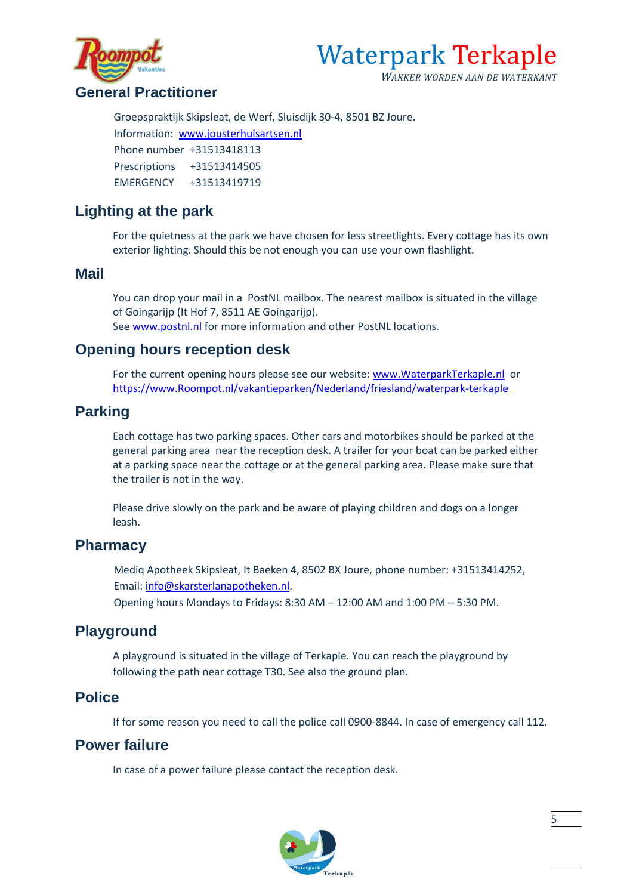

*WAKKER WORDEN AAN DE WATERKANT*

#### Groepspraktijk Skipsleat, de Werf, Sluisdijk 30-4, 8501 BZ Joure. Information: [www.jousterhuisartsen.nl](http://www.jousterhuisartsen.nl/) Phone number +31513418113 Prescriptions +31513414505 EMERGENCY +31513419719

# **Lighting at the park**

For the quietness at the park we have chosen for less streetlights. Every cottage has its own exterior lighting. Should this be not enough you can use your own flashlight.

#### **Mail**

You can drop your mail in a PostNL mailbox. The nearest mailbox is situated in the village of Goingarijp (It Hof 7, 8511 AE Goingarijp). Se[e www.postnl.nl](http://www.postnl.nl/) for more information and other PostNL locations.

#### **Opening hours reception desk**

For the current opening hours please see our website[: www.WaterparkTerkaple.nl](http://www.waterparkterkaple.nl/) or [https://www.Roompot.nl/vakantieparken/Nederland/friesland/waterpark-terkaple](https://www.roompot.nl/vakantieparken/nederland/friesland/waterpark-terkaple)

#### **Parking**

Each cottage has two parking spaces. Other cars and motorbikes should be parked at the general parking area near the reception desk. A trailer for your boat can be parked either at a parking space near the cottage or at the general parking area. Please make sure that the trailer is not in the way.

Please drive slowly on the park and be aware of playing children and dogs on a longer leash.

#### **Pharmacy**

Mediq Apotheek Skipsleat, It Baeken 4, 8502 BX Joure, phone number: +31513414252, Email: [info@skarsterlanapotheken.nl.](mailto:info@skarsterlanapotheken.nl)

Opening hours Mondays to Fridays: 8:30 AM – 12:00 AM and 1:00 PM – 5:30 PM.

#### **Playground**

A playground is situated in the village of Terkaple. You can reach the playground by following the path near cottage T30. See also the ground plan.

#### **Police**

If for some reason you need to call the police call 0900-8844. In case of emergency call 112.

#### **Power failure**

In case of a power failure please contact the reception desk.

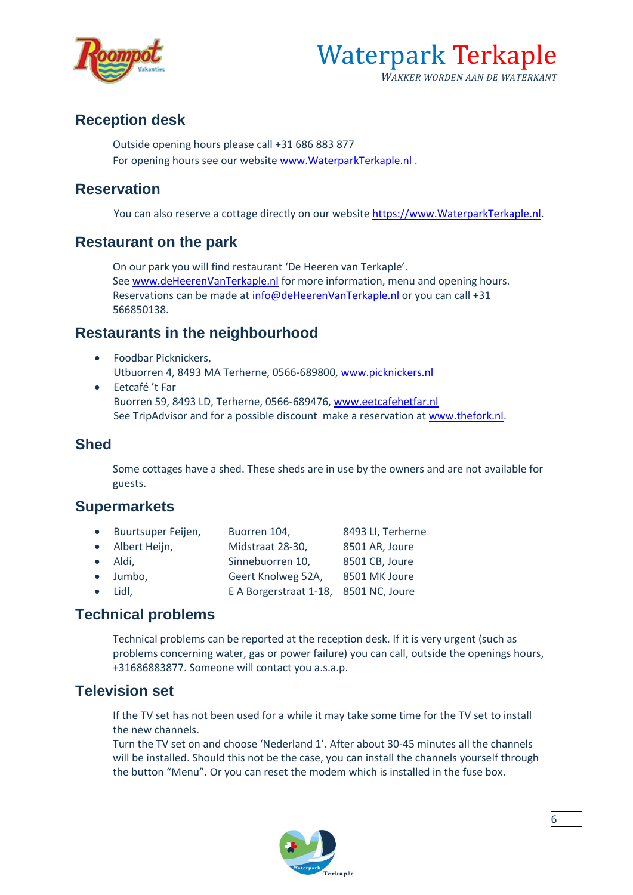



#### **Reception desk**

Outside opening hours please call +31 686 883 877 For opening hours see our website [www.WaterparkTerkaple.nl](http://www.waterparkterkaple.nl/) .

#### **Reservation**

You can also reserve a cottage directly on our website [https://www.WaterparkTerkaple.nl.](https://www.waterparkterkaple.nl/)

#### **Restaurant on the park**

On our park you will find restaurant 'De Heeren van Terkaple'. Se[e www.deHeerenVanTerkaple.nl](http://www.deheerenvanterkaple.nl/) for more information, menu and opening hours. Reservations can be made at [info@deHeerenVanTerkaple.nl](mailto:info@deheerenvanterkaple.nl) or you can call +31 566850138.

#### **Restaurants in the neighbourhood**

- Foodbar Picknickers, Utbuorren 4, 8493 MA Terherne, 0566-689800, [www.picknickers.nl](http://www.picknickers.nl/)
- Eetcafé 't Far Buorren 59, 8493 LD, Terherne, 0566-689476, [www.eetcafehetfar.nl](http://www.eetcafehetfar.nl/) See TripAdvisor and for a possible discount make a reservation at [www.thefork.nl.](http://www.thefork.nl/)

#### **Shed**

Some cottages have a shed. These sheds are in use by the owners and are not available for guests.

#### **Supermarkets**

| 8493 LI, Terherne                     |
|---------------------------------------|
| 8501 AR, Joure                        |
| 8501 CB, Joure                        |
| 8501 MK Joure                         |
| E A Borgerstraat 1-18, 8501 NC, Joure |
|                                       |

#### **Technical problems**

Technical problems can be reported at the reception desk. If it is very urgent (such as problems concerning water, gas or power failure) you can call, outside the openings hours, +31686883877. Someone will contact you a.s.a.p.

#### **Television set**

If the TV set has not been used for a while it may take some time for the TV set to install the new channels.

Turn the TV set on and choose 'Nederland 1'. After about 30-45 minutes all the channels will be installed. Should this not be the case, you can install the channels yourself through the button "Menu". Or you can reset the modem which is installed in the fuse box.

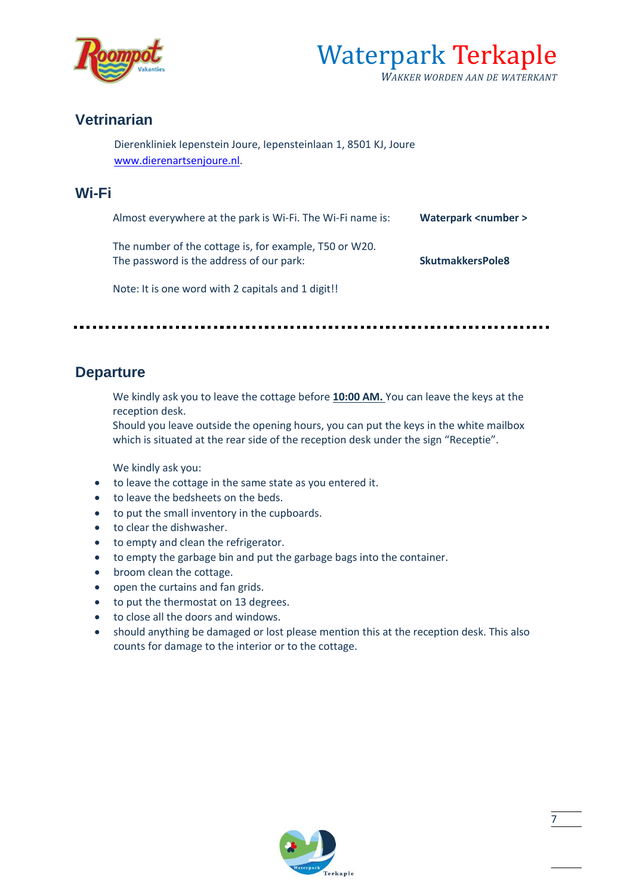



#### **Vetrinarian**

Dierenkliniek Iepenstein Joure, Iepensteinlaan 1, 8501 KJ, Joure [www.dierenartsenjoure.nl.](http://www.dierenartsenjoure.nl/)

#### **Wi-Fi**

| Almost everywhere at the park is Wi-Fi. The Wi-Fi name is:                                         | Waterpark <number></number> |
|----------------------------------------------------------------------------------------------------|-----------------------------|
| The number of the cottage is, for example, T50 or W20.<br>The password is the address of our park: | SkutmakkersPole8            |

Note: It is one word with 2 capitals and 1 digit!!

#### **Departure**

We kindly ask you to leave the cottage before **10:00 AM.** You can leave the keys at the reception desk.

Should you leave outside the opening hours, you can put the keys in the white mailbox which is situated at the rear side of the reception desk under the sign "Receptie".

We kindly ask you:

- to leave the cottage in the same state as you entered it.
- to leave the bedsheets on the beds.
- to put the small inventory in the cupboards.
- to clear the dishwasher.
- to empty and clean the refrigerator.
- to empty the garbage bin and put the garbage bags into the container.
- broom clean the cottage.
- open the curtains and fan grids.
- to put the thermostat on 13 degrees.
- to close all the doors and windows.
- should anything be damaged or lost please mention this at the reception desk. This also counts for damage to the interior or to the cottage.

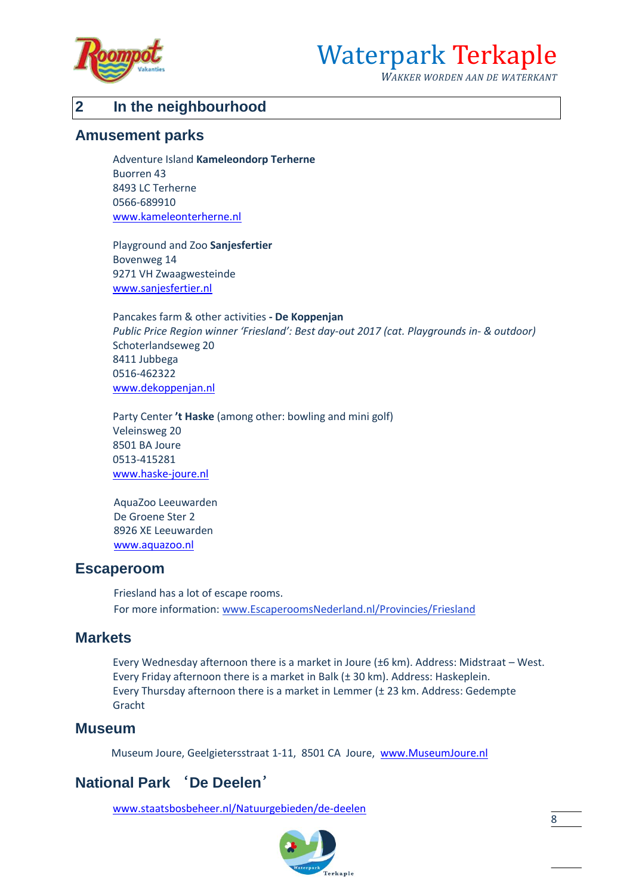

*WAKKER WORDEN AAN DE WATERKANT*

# **2 In the neighbourhood**

#### **Amusement parks**

Adventure Island **Kameleondorp Terherne** Buorren 43 8493 LC Terherne 0566-689910 [www.kameleonterherne.nl](http://www.kameleonterherne.nl/)

Playground and Zoo **Sanjesfertier** Bovenweg 14 9271 VH Zwaagwesteinde [www.sanjesfertier.nl](http://www.sanjesfertier.nl/)

Pancakes farm & other activities **- De Koppenjan** *Public Price Region winner 'Friesland': Best day-out 2017 (cat. Playgrounds in- & outdoor)* Schoterlandseweg 20 8411 Jubbega 0516-462322 [www.dekoppenjan.nl](http://www.dekoppenjan.nl/)

Party Center **'t Haske** (among other: bowling and mini golf) Veleinsweg 20 8501 BA Joure 0513-415281 [www.haske-joure.nl](http://www.haske-joure.nl/)

AquaZoo Leeuwarden De Groene Ster 2 8926 XE Leeuwarden [www.aquazoo.nl](http://www.aquazoo.nl/)

#### **Escaperoom**

Friesland has a lot of escape rooms. For more information: www.EscaperoomsNederland.nl/Provincies/Friesland

#### **Markets**

Every Wednesday afternoon there is a market in Joure (±6 km). Address: Midstraat – West. Every Friday afternoon there is a market in Balk (± 30 km). Address: Haskeplein. Every Thursday afternoon there is a market in Lemmer (± 23 km. Address: Gedempte Gracht

#### **Museum**

Museum Joure, Geelgietersstraat 1-11, 8501 CA Joure, [www.MuseumJoure.nl](http://www.museumjoure.nl/)

# **National Park** '**De Deelen**'

[www.staatsbosbeheer.nl/Natuurgebieden/de-deelen](http://www.staatsbosbeheer.nl/Natuurgebieden/de-deelen)

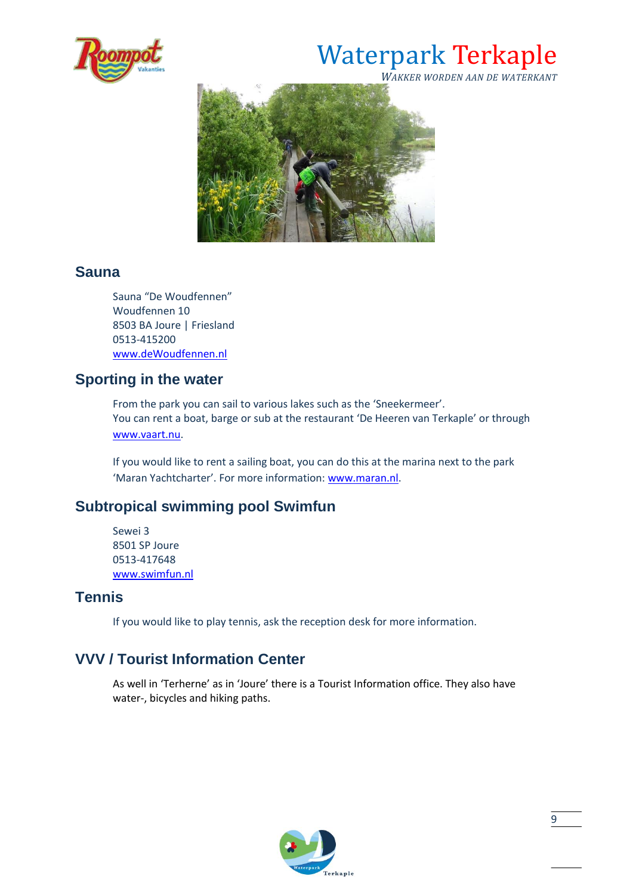

*WAKKER WORDEN AAN DE WATERKANT*



#### **Sauna**

Sauna "De Woudfennen" Woudfennen 10 8503 BA Joure | Friesland 0513-415200 [www.deWoudfennen.nl](http://www.dewoudfennen.nl/)

# **Sporting in the water**

From the park you can sail to various lakes such as the 'Sneekermeer'. You can rent a boat, barge or sub at the restaurant 'De Heeren van Terkaple' or through [www.vaart.nu.](http://www.vaart.nu/)

If you would like to rent a sailing boat, you can do this at the marina next to the park 'Maran Yachtcharter'. For more information: [www.maran.nl.](http://www.maran.nl/)

# **Subtropical swimming pool Swimfun**

Sewei 3 8501 SP Joure 0513-417648 [www.swimfun.nl](http://www.swimfun.nl/)

#### **Tennis**

If you would like to play tennis, ask the reception desk for more information.

# **VVV / Tourist Information Center**

As well in 'Terherne' as in 'Joure' there is a Tourist Information office. They also have water-, bicycles and hiking paths.

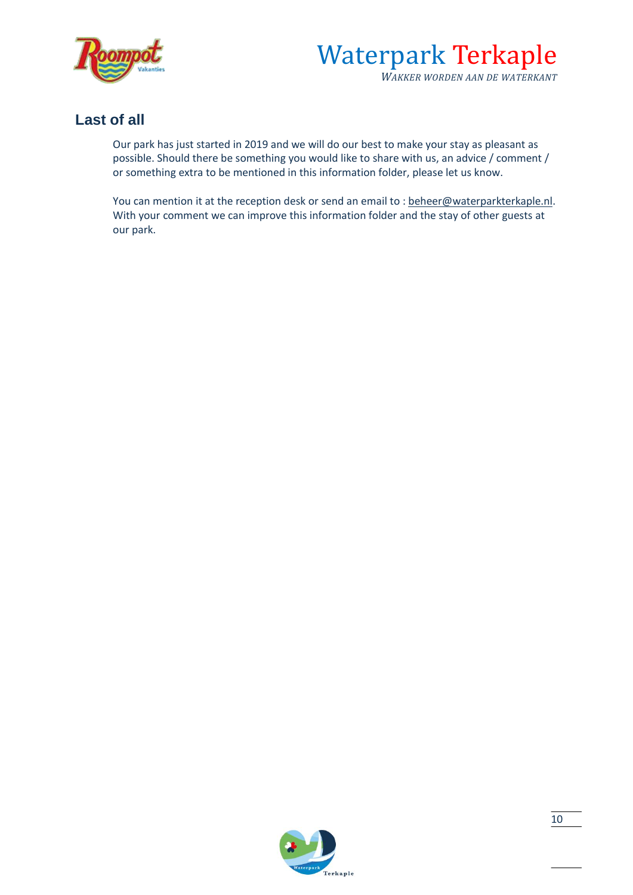



#### **Last of all**

Our park has just started in 2019 and we will do our best to make your stay as pleasant as possible. Should there be something you would like to share with us, an advice / comment / or something extra to be mentioned in this information folder, please let us know.

You can mention it at the reception desk or send an email to : beheer@waterparkterkaple.nl. With your comment we can improve this information folder and the stay of other guests at our park.